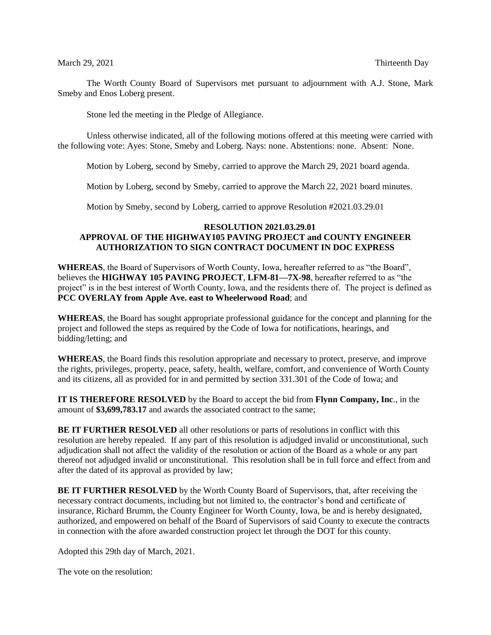The Worth County Board of Supervisors met pursuant to adjournment with A.J. Stone, Mark Smeby and Enos Loberg present.

Stone led the meeting in the Pledge of Allegiance.

Unless otherwise indicated, all of the following motions offered at this meeting were carried with the following vote: Ayes: Stone, Smeby and Loberg. Nays: none. Abstentions: none. Absent: None.

Motion by Loberg, second by Smeby, carried to approve the March 29, 2021 board agenda.

Motion by Loberg, second by Smeby, carried to approve the March 22, 2021 board minutes.

Motion by Smeby, second by Loberg, carried to approve Resolution #2021.03.29.01

#### **RESOLUTION 2021.03.29.01 APPROVAL OF THE HIGHWAY105 PAVING PROJECT and COUNTY ENGINEER AUTHORIZATION TO SIGN CONTRACT DOCUMENT IN DOC EXPRESS**

**WHEREAS**, the Board of Supervisors of Worth County, Iowa, hereafter referred to as "the Board", believes the **HIGHWAY 105 PAVING PROJECT**, **LFM-81—7X-98**, hereafter referred to as "the project" is in the best interest of Worth County, Iowa, and the residents there of. The project is defined as **PCC OVERLAY from Apple Ave. east to Wheelerwood Road**; and

**WHEREAS**, the Board has sought appropriate professional guidance for the concept and planning for the project and followed the steps as required by the Code of Iowa for notifications, hearings, and bidding/letting; and

**WHEREAS**, the Board finds this resolution appropriate and necessary to protect, preserve, and improve the rights, privileges, property, peace, safety, health, welfare, comfort, and convenience of Worth County and its citizens, all as provided for in and permitted by section 331.301 of the Code of Iowa; and

**IT IS THEREFORE RESOLVED** by the Board to accept the bid from **Flynn Company, Inc**., in the amount of **\$3,699,783.17** and awards the associated contract to the same;

**BE IT FURTHER RESOLVED** all other resolutions or parts of resolutions in conflict with this resolution are hereby repealed. If any part of this resolution is adjudged invalid or unconstitutional, such adjudication shall not affect the validity of the resolution or action of the Board as a whole or any part thereof not adjudged invalid or unconstitutional. This resolution shall be in full force and effect from and after the dated of its approval as provided by law;

**BE IT FURTHER RESOLVED** by the Worth County Board of Supervisors, that, after receiving the necessary contract documents, including but not limited to, the contractor's bond and certificate of insurance, Richard Brumm, the County Engineer for Worth County, Iowa, be and is hereby designated, authorized, and empowered on behalf of the Board of Supervisors of said County to execute the contracts in connection with the afore awarded construction project let through the DOT for this county.

Adopted this 29th day of March, 2021.

The vote on the resolution: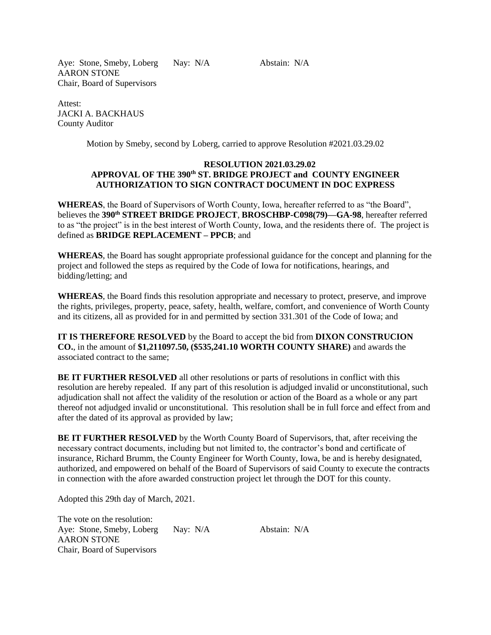Aye: Stone, Smeby, Loberg Nay: N/A Abstain: N/A AARON STONE Chair, Board of Supervisors

Attest: JACKI A. BACKHAUS County Auditor

Motion by Smeby, second by Loberg, carried to approve Resolution #2021.03.29.02

### **RESOLUTION 2021.03.29.02 APPROVAL OF THE 390th ST. BRIDGE PROJECT and COUNTY ENGINEER AUTHORIZATION TO SIGN CONTRACT DOCUMENT IN DOC EXPRESS**

**WHEREAS**, the Board of Supervisors of Worth County, Iowa, hereafter referred to as "the Board", believes the **390th STREET BRIDGE PROJECT**, **BROSCHBP-C098(79)—GA-98**, hereafter referred to as "the project" is in the best interest of Worth County, Iowa, and the residents there of. The project is defined as **BRIDGE REPLACEMENT – PPCB**; and

**WHEREAS**, the Board has sought appropriate professional guidance for the concept and planning for the project and followed the steps as required by the Code of Iowa for notifications, hearings, and bidding/letting; and

**WHEREAS**, the Board finds this resolution appropriate and necessary to protect, preserve, and improve the rights, privileges, property, peace, safety, health, welfare, comfort, and convenience of Worth County and its citizens, all as provided for in and permitted by section 331.301 of the Code of Iowa; and

**IT IS THEREFORE RESOLVED** by the Board to accept the bid from **DIXON CONSTRUCION CO.**, in the amount of **\$1,211097.50, (\$535,241.10 WORTH COUNTY SHARE)** and awards the associated contract to the same;

**BE IT FURTHER RESOLVED** all other resolutions or parts of resolutions in conflict with this resolution are hereby repealed. If any part of this resolution is adjudged invalid or unconstitutional, such adjudication shall not affect the validity of the resolution or action of the Board as a whole or any part thereof not adjudged invalid or unconstitutional. This resolution shall be in full force and effect from and after the dated of its approval as provided by law;

**BE IT FURTHER RESOLVED** by the Worth County Board of Supervisors, that, after receiving the necessary contract documents, including but not limited to, the contractor's bond and certificate of insurance, Richard Brumm, the County Engineer for Worth County, Iowa, be and is hereby designated, authorized, and empowered on behalf of the Board of Supervisors of said County to execute the contracts in connection with the afore awarded construction project let through the DOT for this county.

Adopted this 29th day of March, 2021.

The vote on the resolution: Aye: Stone, Smeby, Loberg Nay: N/A Abstain: N/A AARON STONE Chair, Board of Supervisors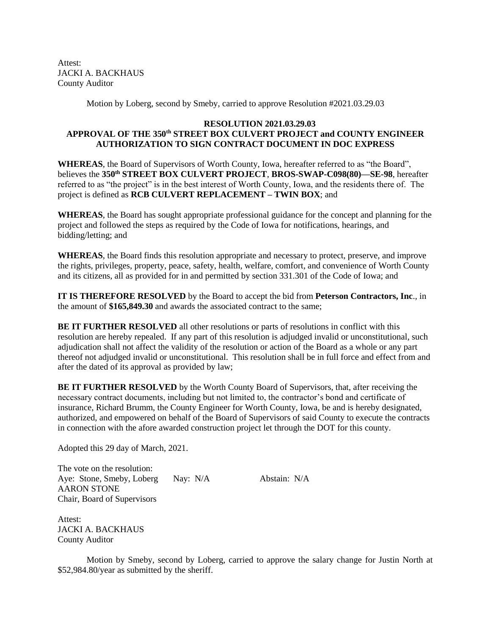Attest: JACKI A. BACKHAUS County Auditor

Motion by Loberg, second by Smeby, carried to approve Resolution #2021.03.29.03

# **RESOLUTION 2021.03.29.03 APPROVAL OF THE 350th STREET BOX CULVERT PROJECT and COUNTY ENGINEER AUTHORIZATION TO SIGN CONTRACT DOCUMENT IN DOC EXPRESS**

**WHEREAS**, the Board of Supervisors of Worth County, Iowa, hereafter referred to as "the Board", believes the **350th STREET BOX CULVERT PROJECT**, **BROS-SWAP-C098(80)—SE-98**, hereafter referred to as "the project" is in the best interest of Worth County, Iowa, and the residents there of. The project is defined as **RCB CULVERT REPLACEMENT – TWIN BOX**; and

**WHEREAS**, the Board has sought appropriate professional guidance for the concept and planning for the project and followed the steps as required by the Code of Iowa for notifications, hearings, and bidding/letting; and

**WHEREAS**, the Board finds this resolution appropriate and necessary to protect, preserve, and improve the rights, privileges, property, peace, safety, health, welfare, comfort, and convenience of Worth County and its citizens, all as provided for in and permitted by section 331.301 of the Code of Iowa; and

**IT IS THEREFORE RESOLVED** by the Board to accept the bid from **Peterson Contractors, Inc**., in the amount of **\$165,849.30** and awards the associated contract to the same;

**BE IT FURTHER RESOLVED** all other resolutions or parts of resolutions in conflict with this resolution are hereby repealed. If any part of this resolution is adjudged invalid or unconstitutional, such adjudication shall not affect the validity of the resolution or action of the Board as a whole or any part thereof not adjudged invalid or unconstitutional. This resolution shall be in full force and effect from and after the dated of its approval as provided by law;

**BE IT FURTHER RESOLVED** by the Worth County Board of Supervisors, that, after receiving the necessary contract documents, including but not limited to, the contractor's bond and certificate of insurance, Richard Brumm, the County Engineer for Worth County, Iowa, be and is hereby designated, authorized, and empowered on behalf of the Board of Supervisors of said County to execute the contracts in connection with the afore awarded construction project let through the DOT for this county.

Adopted this 29 day of March, 2021.

The vote on the resolution: Aye: Stone, Smeby, Loberg Nay: N/A Abstain: N/A AARON STONE Chair, Board of Supervisors

Attest: JACKI A. BACKHAUS County Auditor

Motion by Smeby, second by Loberg, carried to approve the salary change for Justin North at \$52,984.80/year as submitted by the sheriff.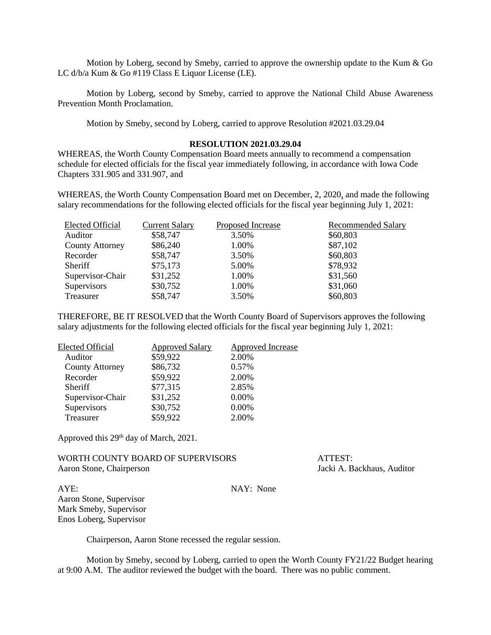Motion by Loberg, second by Smeby, carried to approve the ownership update to the Kum  $\&$  Go LC d/b/a Kum & Go #119 Class E Liquor License (LE).

Motion by Loberg, second by Smeby, carried to approve the National Child Abuse Awareness Prevention Month Proclamation.

Motion by Smeby, second by Loberg, carried to approve Resolution #2021.03.29.04

#### **RESOLUTION 2021.03.29.04**

WHEREAS, the Worth County Compensation Board meets annually to recommend a compensation schedule for elected officials for the fiscal year immediately following, in accordance with Iowa Code Chapters 331.905 and 331.907, and

WHEREAS, the Worth County Compensation Board met on December, 2, 2020, and made the following salary recommendations for the following elected officials for the fiscal year beginning July 1, 2021:

| <b>Elected Official</b> | <b>Current Salary</b> | Proposed Increase | <b>Recommended Salary</b> |
|-------------------------|-----------------------|-------------------|---------------------------|
| Auditor                 | \$58,747              | 3.50%             | \$60,803                  |
| <b>County Attorney</b>  | \$86,240              | 1.00%             | \$87,102                  |
| Recorder                | \$58,747              | 3.50%             | \$60,803                  |
| <b>Sheriff</b>          | \$75,173              | 5.00%             | \$78,932                  |
| Supervisor-Chair        | \$31,252              | 1.00%             | \$31,560                  |
| Supervisors             | \$30,752              | 1.00%             | \$31,060                  |
| Treasurer               | \$58,747              | 3.50%             | \$60,803                  |

THEREFORE, BE IT RESOLVED that the Worth County Board of Supervisors approves the following salary adjustments for the following elected officials for the fiscal year beginning July 1, 2021:

| <b>Approved Salary</b> | <b>Approved Increase</b> |
|------------------------|--------------------------|
| \$59,922               | 2.00%                    |
| \$86,732               | 0.57%                    |
| \$59,922               | 2.00%                    |
| \$77,315               | 2.85%                    |
| \$31,252               | 0.00%                    |
| \$30,752               | $0.00\%$                 |
| \$59,922               | 2.00%                    |
|                        |                          |

Approved this 29<sup>th</sup> day of March, 2021.

WORTH COUNTY BOARD OF SUPERVISORS ATTEST: Aaron Stone, Chairperson Jacki A. Backhaus, Auditor

AYE: NAY: None Aaron Stone, Supervisor Mark Smeby, Supervisor Enos Loberg, Supervisor

Chairperson, Aaron Stone recessed the regular session.

Motion by Smeby, second by Loberg, carried to open the Worth County FY21/22 Budget hearing at 9:00 A.M. The auditor reviewed the budget with the board. There was no public comment.